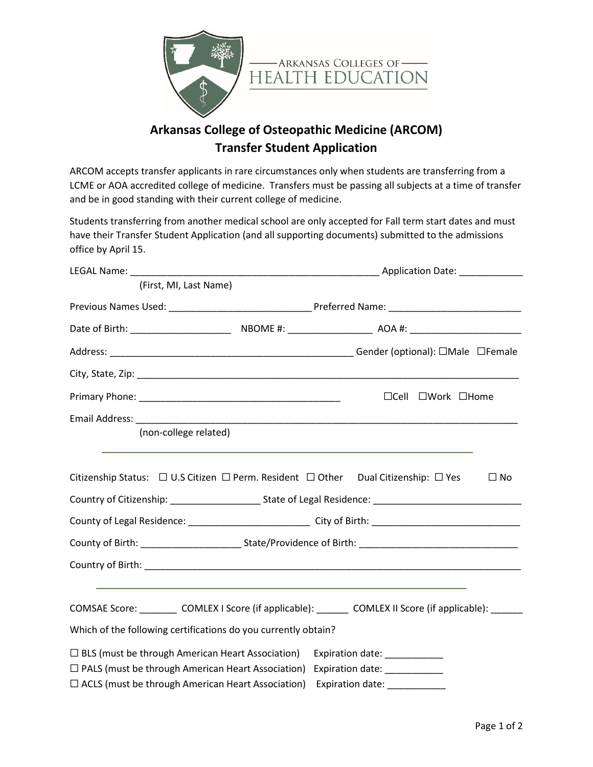

## **Arkansas College of Osteopathic Medicine (ARCOM) Transfer Student Application**

ARCOM accepts transfer applicants in rare circumstances only when students are transferring from a LCME or AOA accredited college of medicine. Transfers must be passing all subjects at a time of transfer and be in good standing with their current college of medicine.

Students transferring from another medical school are only accepted for Fall term start dates and must have their Transfer Student Application (and all supporting documents) submitted to the admissions office by April 15.

| LEGAL Name: Name and Second Contract of the Second Contract of the Second Contract of the Second Contract of the Second Contract of the Second Contract of the Second Contract of the Second Contract of the Second Contract o |                                                                |                                                                                                                                                                                                      |              |  |
|--------------------------------------------------------------------------------------------------------------------------------------------------------------------------------------------------------------------------------|----------------------------------------------------------------|------------------------------------------------------------------------------------------------------------------------------------------------------------------------------------------------------|--------------|--|
| (First, MI, Last Name)                                                                                                                                                                                                         |                                                                |                                                                                                                                                                                                      |              |  |
|                                                                                                                                                                                                                                |                                                                |                                                                                                                                                                                                      |              |  |
|                                                                                                                                                                                                                                |                                                                |                                                                                                                                                                                                      |              |  |
|                                                                                                                                                                                                                                |                                                                |                                                                                                                                                                                                      |              |  |
|                                                                                                                                                                                                                                |                                                                |                                                                                                                                                                                                      |              |  |
|                                                                                                                                                                                                                                |                                                                | $\Box$ Cell $\Box$ Work $\Box$ Home                                                                                                                                                                  |              |  |
|                                                                                                                                                                                                                                |                                                                |                                                                                                                                                                                                      |              |  |
| (non-college related)                                                                                                                                                                                                          |                                                                |                                                                                                                                                                                                      |              |  |
|                                                                                                                                                                                                                                |                                                                | Citizenship Status: □ U.S Citizen □ Perm. Resident □ Other Dual Citizenship: □ Yes<br>Country of Citizenship: ___________________________State of Legal Residence: _________________________________ | $\square$ No |  |
|                                                                                                                                                                                                                                |                                                                |                                                                                                                                                                                                      |              |  |
|                                                                                                                                                                                                                                |                                                                |                                                                                                                                                                                                      |              |  |
|                                                                                                                                                                                                                                |                                                                |                                                                                                                                                                                                      |              |  |
|                                                                                                                                                                                                                                | Which of the following certifications do you currently obtain? | COMSAE Score: ___________ COMLEX I Score (if applicable): ________ COMLEX II Score (if applicable): _______                                                                                          |              |  |
|                                                                                                                                                                                                                                |                                                                |                                                                                                                                                                                                      |              |  |
| $\Box$ BLS (must be through American Heart Association)<br>$\Box$ PALS (must be through American Heart Association)                                                                                                            |                                                                | Expiration date: ___________                                                                                                                                                                         |              |  |
| $\Box$ ACLS (must be through American Heart Association)                                                                                                                                                                       |                                                                | Expiration date: _____________<br>Expiration date: ____________                                                                                                                                      |              |  |